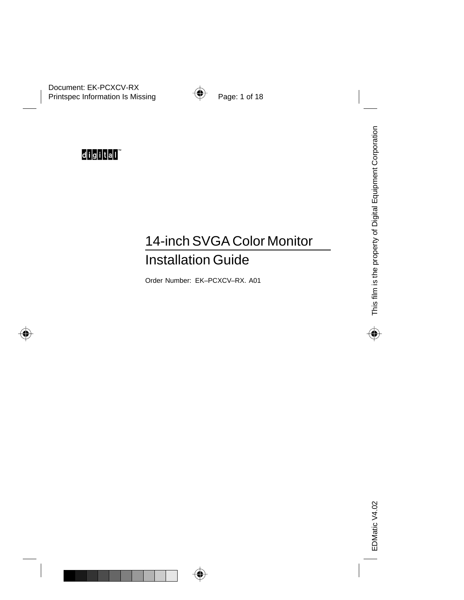Document: EK-PCXCV-RX Printspec Information Is Missing  $\bigoplus$  Page: 1 of 18



# digital

# 14-inch SVGA Color Monitor Installation Guide

Order Number: EK–PCXCV–RX. A01

This film is the property of Digital Equipment Corporation EDMatic V4.02 This film is the property of Digital Equipment Corporation $\bigoplus$ 

EDMatic V4.02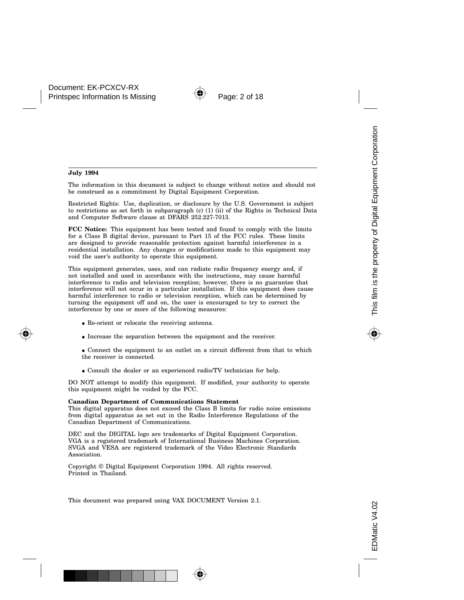

#### **July 1994**

The information in this document is subject to change without notice and should not be construed as a commitment by Digital Equipment Corporation.

Restricted Rights: Use, duplication, or disclosure by the U.S. Government is subject to restrictions as set forth in subparagraph (c) (1) (ii) of the Rights in Technical Data and Computer Software clause at DFARS 252.227-7013.

**FCC Notice:** This equipment has been tested and found to comply with the limits for a Class B digital device, pursuant to Part 15 of the FCC rules. These limits are designed to provide reasonable protection against harmful interference in a residential installation. Any changes or modifications made to this equipment may void the user's authority to operate this equipment.

This equipment generates, uses, and can radiate radio frequency energy and, if not installed and used in accordance with the instructions, may cause harmful interference to radio and television reception; however, there is no guarantee that interference will not occur in a particular installation. If this equipment does cause harmful interference to radio or television reception, which can be determined by turning the equipment off and on, the user is encouraged to try to correct the interference by one or more of the following measures:

- Re-orient or relocate the receiving antenna.
- Increase the separation between the equipment and the receiver.

 Connect the equipment to an outlet on a circuit different from that to which the receiver is connected.

Consult the dealer or an experienced radio/TV technician for help.

DO NOT attempt to modify this equipment. If modified, your authority to operate this equipment might be voided by the FCC.

#### **Canadian Department of Communications Statement**

This digital apparatus does not exceed the Class B limits for radio noise emissions from digital apparatus as set out in the Radio Interference Regulations of the Canadian Department of Communications.

DEC and the DIGITAL logo are trademarks of Digital Equipment Corporation. VGA is a registered trademark of International Business Machines Corporation. SVGA and VESA are registered trademark of the Video Electronic Standards Association.

Copyright © Digital Equipment Corporation 1994. All rights reserved. Printed in Thailand.

This document was prepared using VAX DOCUMENT Version 2.1.

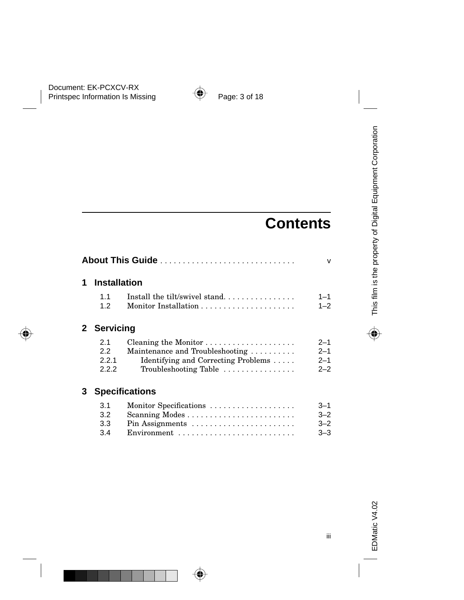

# **Contents**

|                             |                                                                                                 | $\mathsf{V}$                                                                    |
|-----------------------------|-------------------------------------------------------------------------------------------------|---------------------------------------------------------------------------------|
|                             |                                                                                                 |                                                                                 |
| 1.1<br>1.2                  | Install the tilt/swivel stand                                                                   | $1 - 1$<br>$1 - 2$                                                              |
|                             |                                                                                                 |                                                                                 |
| 2.1<br>22<br>2.2.1<br>2.2.2 | Maintenance and Troubleshooting<br>Identifying and Correcting Problems<br>Troubleshooting Table | $2 - 1$<br>$2 - 1$<br>$2 - 1$<br>$2 - 2$                                        |
|                             |                                                                                                 |                                                                                 |
| 3.1<br>3.2<br>3.3<br>3.4    | Monitor Specifications<br>Pin Assignments                                                       | $3 - 1$<br>$3 - 2$<br>$3 - 2$<br>$3 - 3$                                        |
|                             | $\mathbf{2}^-$                                                                                  | <b>Installation</b><br><b>Servicing</b><br><b>Specifications</b><br>Environment |

This film is the property of Digital Equipment Corporation

 $\hat{\mathbf{\Theta}}$ 

iii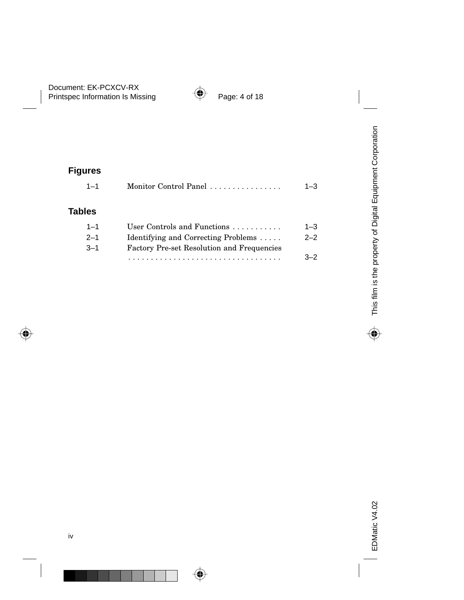# **Figures**

| Monitor Control Panel $\ldots \ldots \ldots \ldots$<br>$1 - 1$ |                                                    |         |  |
|----------------------------------------------------------------|----------------------------------------------------|---------|--|
| <b>Tables</b>                                                  |                                                    |         |  |
| $1 - 1$                                                        | User Controls and Functions $\ldots \ldots \ldots$ | $1 - 3$ |  |
| $2 - 1$                                                        | Identifying and Correcting Problems                | $2 - 2$ |  |
| $3 - 1$                                                        | <b>Factory Pre-set Resolution and Frequencies</b>  |         |  |
|                                                                |                                                    | 3-2     |  |





iv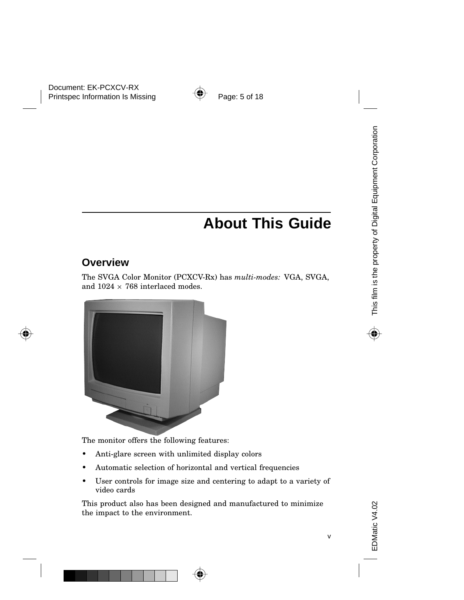Document: EK-PCXCV-RX Printspec Information Is Missing  $\mathbb{Q}^+$  Page: 5 of 18



# **About This Guide**

### **Overview**

The SVGA Color Monitor (PCXCV-Rx) has *multi-modes:* VGA, SVGA, and  $1024 \times 768$  interlaced modes.



The monitor offers the following features:

- Anti-glare screen with unlimited display colors
- Automatic selection of horizontal and vertical frequencies
- User controls for image size and centering to adapt to a variety of video cards

This product also has been designed and manufactured to minimize the impact to the environment.

EDMatic V4.02

v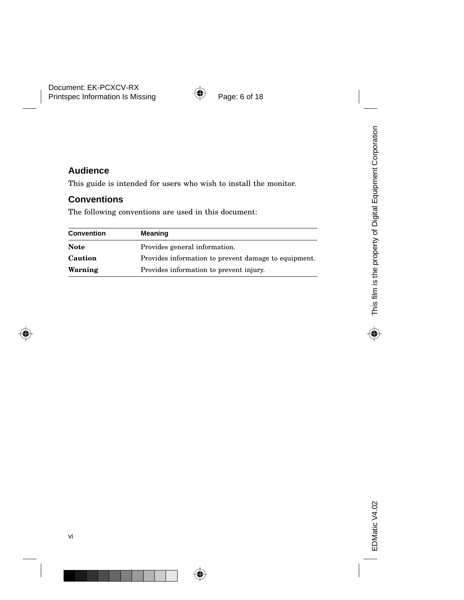

### **Audience**

This guide is intended for users who wish to install the monitor.

### **Conventions**

The following conventions are used in this document:

| <b>Convention</b> | <b>Meaning</b>                                       |  |
|-------------------|------------------------------------------------------|--|
| <b>Note</b>       | Provides general information.                        |  |
| Caution           | Provides information to prevent damage to equipment. |  |
| Warning           | Provides information to prevent injury.              |  |

EDMatic V4.02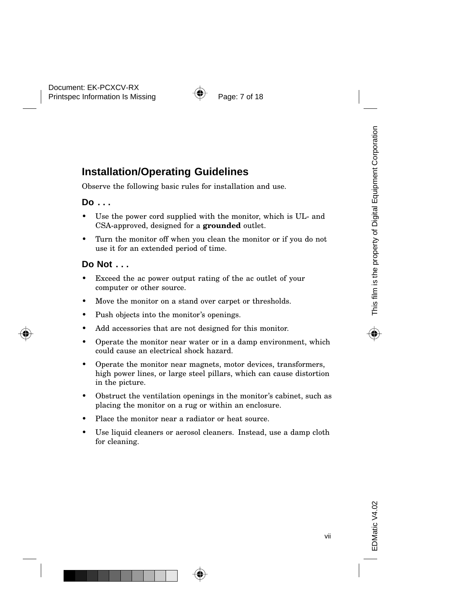# **Installation/Operating Guidelines**

Observe the following basic rules for installation and use.

#### **Do . . .**

- Use the power cord supplied with the monitor, which is UL- and CSA-approved, designed for a **grounded** outlet.
- Turn the monitor off when you clean the monitor or if you do not use it for an extended period of time.

### **Do Not . . .**

- Exceed the ac power output rating of the ac outlet of your computer or other source.
- Move the monitor on a stand over carpet or thresholds.
- Push objects into the monitor's openings.
- Add accessories that are not designed for this monitor.
- Operate the monitor near water or in a damp environment, which could cause an electrical shock hazard.
- Operate the monitor near magnets, motor devices, transformers, high power lines, or large steel pillars, which can cause distortion in the picture.
- Obstruct the ventilation openings in the monitor's cabinet, such as placing the monitor on a rug or within an enclosure.
- Place the monitor near a radiator or heat source.
- Use liquid cleaners or aerosol cleaners. Instead, use a damp cloth for cleaning.



vii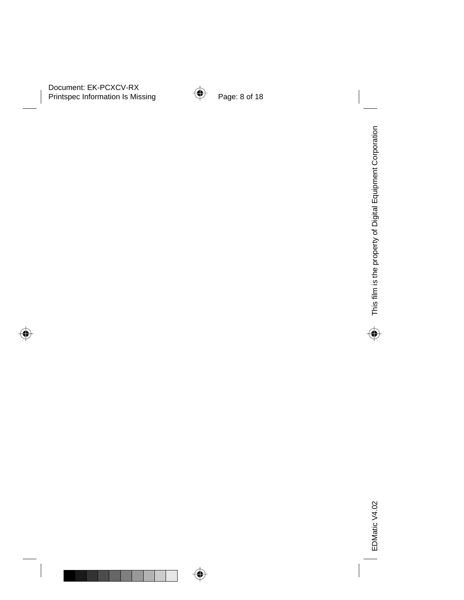Document: EK-PCXCV-RX Printspec Information Is Missing  $\Psi$  Page:

♠



Page: 8 of 18



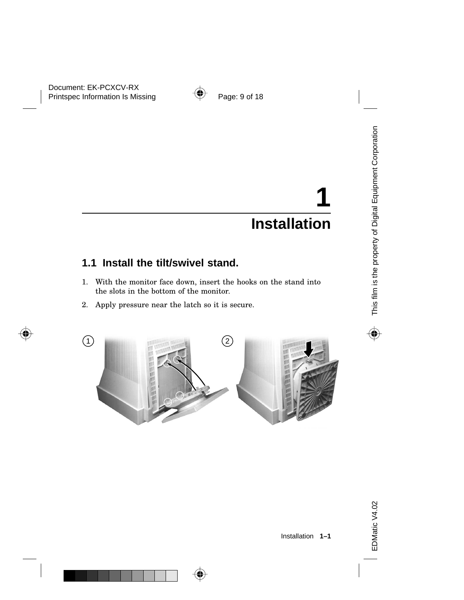Document: EK-PCXCV-RX Printspec Information Is Missing  $\bigoplus$  Page: 9 of 18



# **1 Installation**

# **1.1 Install the tilt/swivel stand.**

- 1. With the monitor face down, insert the hooks on the stand into the slots in the bottom of the monitor.
- 2. Apply pressure near the latch so it is secure.



Installation **1–1**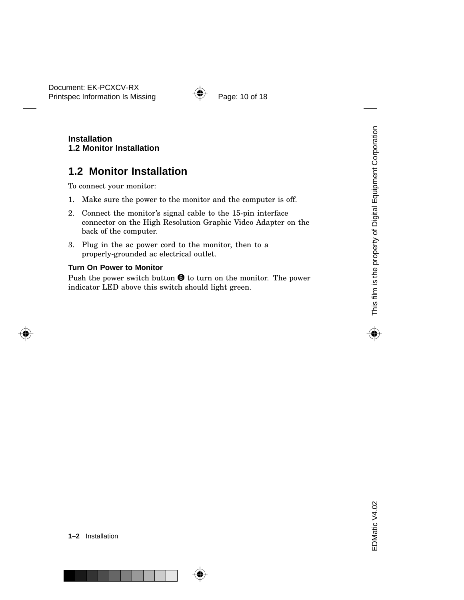

### **Installation 1.2 Monitor Installation**

## **1.2 Monitor Installation**

To connect your monitor:

- 1. Make sure the power to the monitor and the computer is off.
- 2. Connect the monitor's signal cable to the 15-pin interface connector on the High Resolution Graphic Video Adapter on the back of the computer.
- 3. Plug in the ac power cord to the monitor, then to a properly-grounded ac electrical outlet.

### **Turn On Power to Monitor**

Push the power switch button  $\Theta$  to turn on the monitor. The power indicator LED above this switch should light green.



**1–2** Installation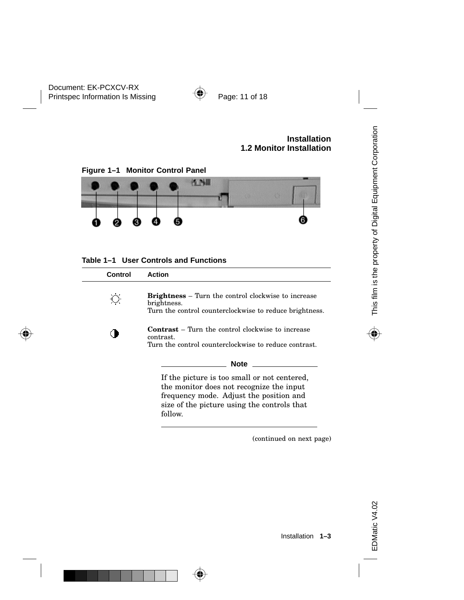### **Installation 1.2 Monitor Installation**



### **Table 1–1 User Controls and Functions**

| <b>Control</b> | <b>Action</b>                                                                                                                        |
|----------------|--------------------------------------------------------------------------------------------------------------------------------------|
|                | <b>Brightness</b> – Turn the control clockwise to increase<br>brightness.<br>Turn the control counterclockwise to reduce brightness. |
|                | <b>Contrast</b> – Turn the control clockwise to increase<br>contrast.<br>Turn the control counterclockwise to reduce contrast.       |
|                | <b>Note</b>                                                                                                                          |
|                | If the picture is too small or not centered,<br>the monitor does not recognize the input<br>frequency mode. Adjust the position and  |

Installation **1–3**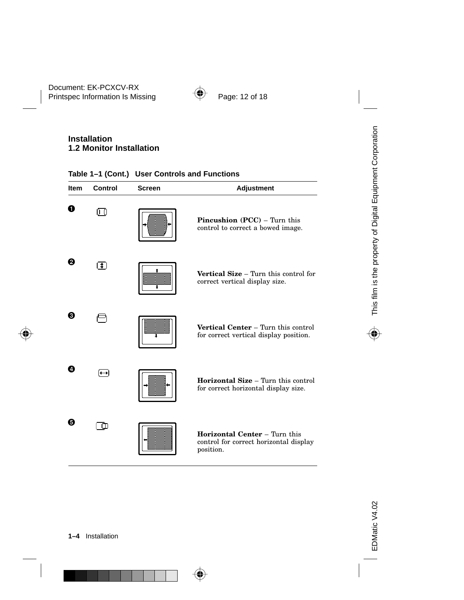

EDMatic V4.02 This film is the property of Digital Equipment Corporation

EDMatic V4.02

 $\bigoplus$  This film is the property of Digital Equipment Corporation

### **Installation 1.2 Monitor Installation**

|             |         | Table 1-1 (Cont.) User Controls and Functions |                                                                                      |  |
|-------------|---------|-----------------------------------------------|--------------------------------------------------------------------------------------|--|
| <b>Item</b> | Control | <b>Screen</b>                                 | <b>Adjustment</b>                                                                    |  |
| O           | D O     |                                               | <b>Pincushion</b> $(PCC)$ – Turn this<br>control to correct a bowed image.           |  |
| Ø           | ⊕       |                                               | <b>Vertical Size – Turn this control for</b><br>correct vertical display size.       |  |
| Ø           |         |                                               | Vertical Center - Turn this control<br>for correct vertical display position.        |  |
| Ø           | (↔      |                                               | Horizontal Size - Turn this control<br>for correct horizontal display size.          |  |
| Q           | ◫       |                                               | Horizontal Center - Turn this<br>control for correct horizontal display<br>position. |  |

**1–4** Installation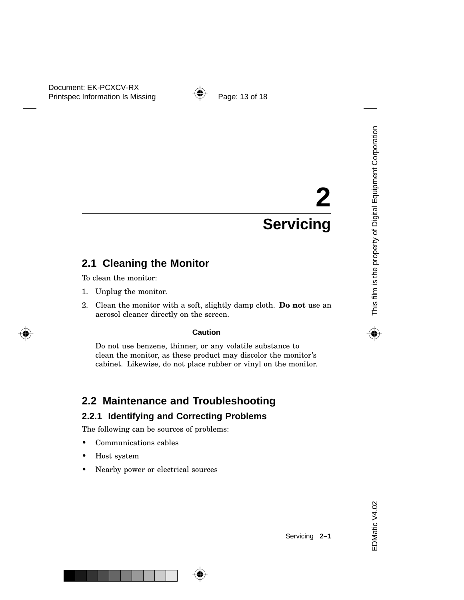

# **2 Servicing**

# **2.1 Cleaning the Monitor**

To clean the monitor:

- 1. Unplug the monitor.
- 2. Clean the monitor with a soft, slightly damp cloth. **Do not** use an aerosol cleaner directly on the screen.

### **Caution**

Do not use benzene, thinner, or any volatile substance to clean the monitor, as these product may discolor the monitor's cabinet. Likewise, do not place rubber or vinyl on the monitor.

# **2.2 Maintenance and Troubleshooting**

### **2.2.1 Identifying and Correcting Problems**

The following can be sources of problems:

- Communications cables
- Host system
- Nearby power or electrical sources



Servicing **2–1**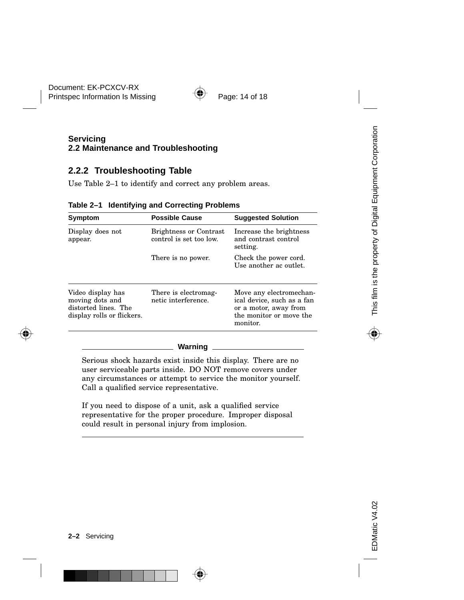

### **Servicing 2.2 Maintenance and Troubleshooting**

### **2.2.2 Troubleshooting Table**

Use Table 2–1 to identify and correct any problem areas.

| Symptom                                                                                    | <b>Possible Cause</b>                                    | <b>Suggested Solution</b>                                                                                             |  |
|--------------------------------------------------------------------------------------------|----------------------------------------------------------|-----------------------------------------------------------------------------------------------------------------------|--|
| Display does not<br>appear.                                                                | <b>Brightness or Contrast</b><br>control is set too low. | Increase the brightness<br>and contrast control<br>setting.                                                           |  |
|                                                                                            | There is no power.                                       | Check the power cord.<br>Use another ac outlet.                                                                       |  |
| Video display has<br>moving dots and<br>distorted lines. The<br>display rolls or flickers. | There is electromag-<br>netic interference.              | Move any electromechan-<br>ical device, such as a fan<br>or a motor, away from<br>the monitor or move the<br>monitor. |  |

**Table 2–1 Identifying and Correcting Problems**



### **Warning**

Serious shock hazards exist inside this display. There are no user serviceable parts inside. DO NOT remove covers under any circumstances or attempt to service the monitor yourself. Call a qualified service representative.

If you need to dispose of a unit, ask a qualified service representative for the proper procedure. Improper disposal could result in personal injury from implosion.



**2–2** Servicing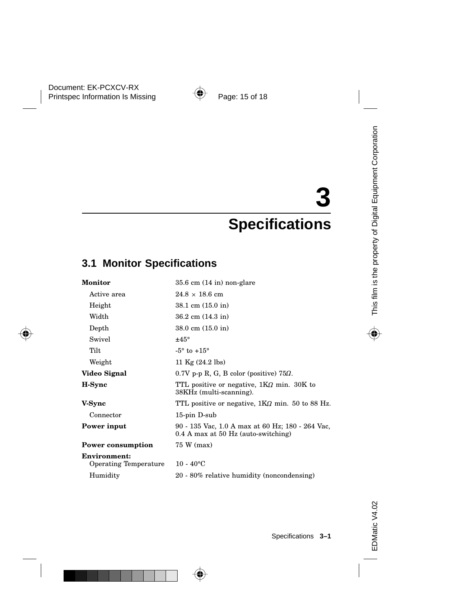Document: EK-PCXCV-RX Printspec Information Is Missing  $\oplus$  Page: 15 of 18



# **3 Specifications**

# **3.1 Monitor Specifications**

| <b>Monitor</b>                                      | $35.6$ cm $(14$ in) non-glare                                                             |
|-----------------------------------------------------|-------------------------------------------------------------------------------------------|
| Active area                                         | $24.8 \times 18.6$ cm                                                                     |
| Height                                              | $38.1 \text{ cm } (15.0 \text{ in})$                                                      |
| Width                                               | $36.2 \text{ cm } (14.3 \text{ in})$                                                      |
| Depth                                               | $38.0 \text{ cm } (15.0 \text{ in})$                                                      |
| Swivel                                              | $±45^{\circ}$                                                                             |
| Tilt                                                | $-5^{\circ}$ to $+15^{\circ}$                                                             |
| Weight                                              | 11 Kg $(24.2 \text{ lbs})$                                                                |
| Video Signal                                        | $0.7V$ p-p R, G, B color (positive) $75\Omega$ .                                          |
| H-Sync                                              | TTL positive or negative, $1K\Omega$ min. 30K to<br>38KHz (multi-scanning).               |
| V-Sync                                              | TTL positive or negative, $1K\Omega$ min. 50 to 88 Hz.                                    |
| Connector                                           | $15$ -pin D-sub                                                                           |
| Power input                                         | 90 - 135 Vac, 1.0 A max at 60 Hz; 180 - 264 Vac,<br>$0.4$ A max at 50 Hz (auto-switching) |
| Power consumption                                   | 75 W (max)                                                                                |
| <b>Environment:</b><br><b>Operating Temperature</b> | $10 - 40^{\circ}$ C                                                                       |
| Humidity                                            | 20 - 80% relative humidity (noncondensing)                                                |

 $\bigoplus$  This film is the property of Digital Equipment Corporation EDMatic V4.02 This film is the property of Digital Equipment Corporation

Specifications **3–1**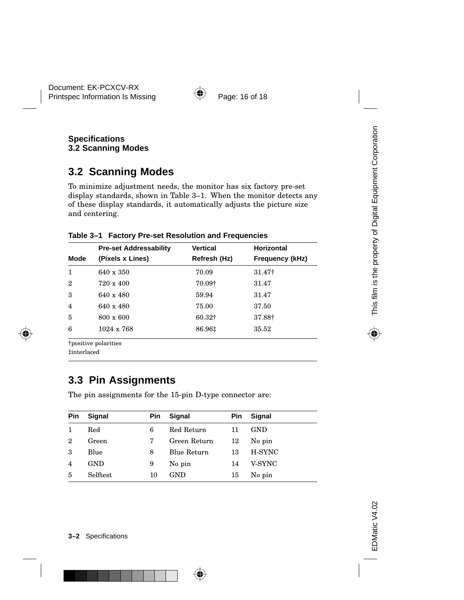

### **Specifications 3.2 Scanning Modes**

# **3.2 Scanning Modes**

To minimize adjustment needs, the monitor has six factory pre-set display standards, shown in Table 3–1. When the monitor detects any of these display standards, it automatically adjusts the picture size and centering.

### **Table 3–1 Factory Pre-set Resolution and Frequencies**

|             | <b>Pre-set Addressability</b> | <b>Vertical</b> | <b>Horizontal</b> |
|-------------|-------------------------------|-----------------|-------------------|
| <b>Mode</b> | (Pixels x Lines)              | Refresh (Hz)    | Frequency (kHz)   |
| 1           | 640 x 350                     | 70.09           | 31.47†            |
| 2           | $720 \times 400$              | 70.09†          | 31.47             |
| 3           | 640 x 480                     | 59.94           | 31.47             |
| 4           | 640 x 480                     | 75.00           | 37.50             |
| 5           | 800 x 600                     | 60.32†          | 37.88†            |
| 6           | $1024 \times 768$             | 86.96‡          | 35.52             |

# **3.3 Pin Assignments**

The pin assignments for the 15-pin D-type connector are:

| Pin              | Signal       | Pin | <b>Signal</b> | <b>Pin</b> | <b>Signal</b> |
|------------------|--------------|-----|---------------|------------|---------------|
|                  | $_{\rm Red}$ | 6   | Red Return    | 11         | <b>GND</b>    |
| $\boldsymbol{2}$ | Green        |     | Green Return  | 12         | No pin        |
| 3                | Blue         | 8   | Blue Return   | 13         | <b>H-SYNC</b> |
| 4                | GND          | 9   | No pin        | 14         | V-SYNC        |
| 5                | Selftest     | 10  | GND           | 15         | No pin        |

EDMatic V4.02

**3–2** Specifications

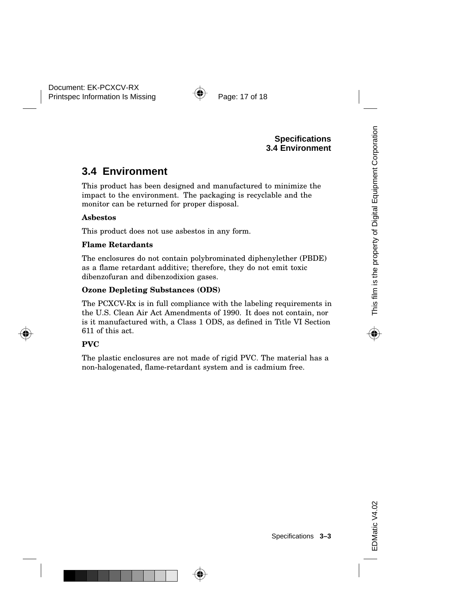Document: EK-PCXCV-RX Printspec Information Is Missing  $\overline{\mathbb{P}}$  Page: 17 of 18



### **Specifications 3.4 Environment**

## **3.4 Environment**

This product has been designed and manufactured to minimize the impact to the environment. The packaging is recyclable and the monitor can be returned for proper disposal.

### **Asbestos**

This product does not use asbestos in any form.

### **Flame Retardants**

The enclosures do not contain polybrominated diphenylether (PBDE) as a flame retardant additive; therefore, they do not emit toxic dibenzofuran and dibenzodixion gases.

### **Ozone Depleting Substances (ODS)**

The PCXCV-Rx is in full compliance with the labeling requirements in the U.S. Clean Air Act Amendments of 1990. It does not contain, nor is it manufactured with, a Class 1 ODS, as defined in Title VI Section 611 of this act.

### **PVC**

The plastic enclosures are not made of rigid PVC. The material has a non-halogenated, flame-retardant system and is cadmium free.

Specifications **3–3**